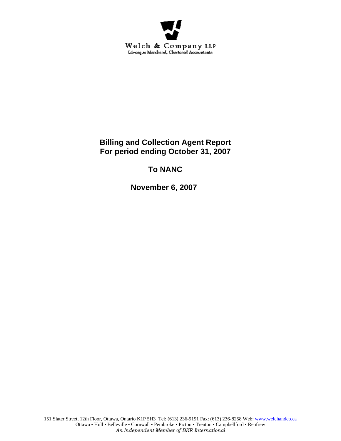

**Billing and Collection Agent Report For period ending October 31, 2007** 

# **To NANC**

 **November 6, 2007**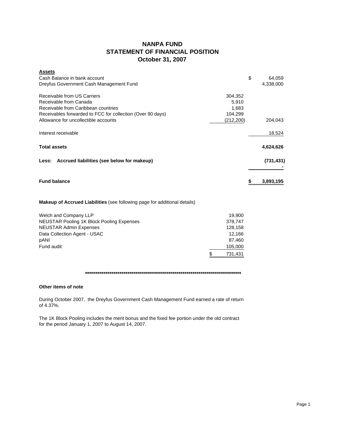## **NANPA FUND STATEMENT OF FINANCIAL POSITION October 31, 2007**

| <b>Assets</b>                                              |            |              |
|------------------------------------------------------------|------------|--------------|
| Cash Balance in bank account                               |            | \$<br>64,059 |
| Dreyfus Government Cash Management Fund                    |            | 4,338,000    |
| Receivable from US Carriers                                | 304,352    |              |
| Receivable from Canada                                     | 5,910      |              |
| Receivable from Caribbean countries                        | 1,683      |              |
| Receivables forwarded to FCC for collection (Over 90 days) | 104,299    |              |
| Allowance for uncollectible accounts                       | (212, 200) | 204,043      |
| Interest receivable                                        |            | 18,524       |
| <b>Total assets</b>                                        |            | 4,624,626    |
| Less: Accrued liabilities (see below for makeup)           |            | (731, 431)   |
| <b>Fund balance</b>                                        |            | 3,893,195    |
|                                                            |            |              |

### **Makeup of Accrued Liabilities** (see following page for additional details)

| Welch and Company LLP                     | 19.900  |
|-------------------------------------------|---------|
| NEUSTAR Pooling 1K Block Pooling Expenses | 378.747 |
| <b>NEUSTAR Admin Expenses</b>             | 128.158 |
| Data Collection Agent - USAC              | 12.166  |
| pANI                                      | 87.460  |
| Fund audit                                | 105,000 |
|                                           | 731.431 |

#### **\*\*\*\*\*\*\*\*\*\*\*\*\*\*\*\*\*\*\*\*\*\*\*\*\*\*\*\*\*\*\*\*\*\*\*\*\*\*\*\*\*\*\*\*\*\*\*\*\*\*\*\*\*\*\*\*\*\*\*\*\*\*\*\*\*\*\*\*\*\*\*\*\*\*\*\*\***

#### **Other items of note**

During October 2007, the Dreyfus Government Cash Management Fund earned a rate of return of 4.37%.

The 1K Block Pooling includes the merit bonus and the fixed fee portion under the old contract for the period January 1, 2007 to August 14, 2007.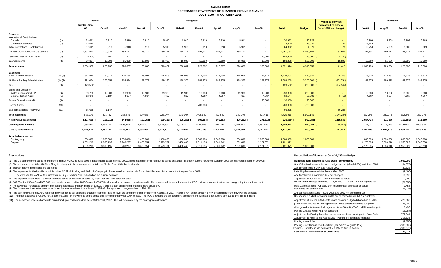#### **NANPA FUND FORECASTED STATEMENT OF CHANGES IN FUND BALANCEJULY 2007 TO OCTOBER 2008**

|                                                         |            | Actual                 |                          | <b>Budgeted</b>        |                        |                          |                        |                        |                 |                 |                        | <b>Variance between</b> | Estimated             |                     |                       |                          |                        |                 |                        |
|---------------------------------------------------------|------------|------------------------|--------------------------|------------------------|------------------------|--------------------------|------------------------|------------------------|-----------------|-----------------|------------------------|-------------------------|-----------------------|---------------------|-----------------------|--------------------------|------------------------|-----------------|------------------------|
|                                                         |            | July 07 - Sept         |                          |                        |                        |                          |                        |                        |                 |                 |                        |                         |                       |                     | forecasted balance at |                          |                        |                 |                        |
|                                                         |            |                        |                          | Oct-07                 | <b>Nov-07</b>          | <b>Dec-07</b>            | Jan-08                 | Feb-08                 | Mar-08          | Apr-08          | $May-08$               | <b>Jun-08</b>           | Total                 | <b>Budget</b>       | June 30/08 and budget | <b>Jul-08</b>            | Aug-08                 | Sep-08          | Oct-08                 |
| Revenue<br><b>International Contributions</b><br>Canada |            |                        | 23,641                   | 5,910                  | 5,910                  | 5,910                    | 5,910                  | 5,910                  | 5,910           | 5,910           | 5,911                  |                         | 70,922                | 70,922              |                       | 5,909                    | 5,909                  | 5,909           | 5,909                  |
| Caribbean countries                                     | (1)<br>(1) |                        | 13.970                   | $\sim$                 | $\sim$                 | $\sim$ $-$               | $\sim$                 | $\sim 100$             | $\sim$ $\sim$   | $\sim$          | $\sim$                 | $\sim$                  | 13,970                | 13,949              | 21                    | 13.849                   | $\sim$                 | $\sim$          | $\sim$                 |
| <b>Total International Contributions</b>                |            | 37,611                 |                          | 5.910                  | 5.910                  | 5,910                    | 5,910                  | 5.910                  | 5,910           | 5,910           | 5,911                  | $\sim$                  | 84,892                | 84,871              | 21                    | 19,758                   | 5,909                  | 5,909           | 5,909                  |
| Domestic Contributions - US carriers                    | (1)        | 2,962,813              |                          | 200,535                | 199,777                | 199,777                  | 199,777                | 199,777                | 199,777         | 199,777         | 199,777                |                         | 4,561,787             | 4,530,185           | 31,602                | 2,354,951                | 199,777                | 199,777         | 199,777                |
| Late filing fees for Form 499A                          | (2)        |                        | 9,300                    | 200                    |                        | $\overline{\phantom{a}}$ |                        | $\sim$                 |                 |                 | $\sim$                 | 115,000                 | 105,900               | 115,000             | 9,100                 | $\overline{\phantom{a}}$ |                        |                 |                        |
| Interest income                                         | (3)        | 59,804                 |                          | 19,092                 | 15,000                 | 15,000                   | 15,000                 | 15,000                 | 15,000          | 15,000          | 15,000                 | 15,000                  | 198,896               | 180,000             | 18,896                | 15,000                   | 15,000                 | 15,000          | 15,000                 |
| <b>Total revenue</b>                                    |            | 3,050,927              |                          | 225,737                | 220.687                | 220,687                  | 220,687                | 220.687                | 220,687         | 220,687         | 220,688                | 130,000                 | 4,951,474             | 4,910,056           | 41,418                | 2,389,709                | 220,686                | 220,686         | 220,686                |
| <b>Expenses</b><br><b>NANPA Administration</b>          | (4), (8)   | 367,879                |                          | 132,015                | 126,134                | 115,998                  | 115,998                | 115,998                | 115,998         | 115,998         | 115,998                | 157,677                 | 1,479,693             | 1,450,340           | 29,353                | 118,333                  | 118,333                | 118,333         | 118,333                |
| 1K Block Pooling Administration                         | (4), (7)   | 792,054                |                          | 265,553                | 214,974                | 189,375                  | 189,375                | 189,375                | 189,375         | 189,375         | 189,375                | 189,375                 | 2,598,206             | 3,200,000           | 601,794)              | 189,375                  | 189,375                | 189,375         | 189,375                |
| pANI                                                    | (9)        | 429,562)               |                          |                        |                        |                          |                        |                        |                 |                 |                        |                         | 429,562)              | 225,000 (           | 654,562)              | $\sim$                   |                        |                 |                        |
| <b>Billing and Collection</b>                           |            |                        |                          |                        |                        |                          |                        |                        |                 |                 |                        |                         |                       |                     |                       |                          |                        |                 |                        |
| Welch & Company LLP<br>Data Collection Agent            | (4)<br>(5) |                        | 59,700<br>12,071         | 19,900<br>3.137        | 19,900<br>4.667        | 19,900<br>4,667          | 19,900<br>4.667        | 19,900<br>4.667        | 19,900<br>4,667 | 19,900<br>4.667 | 19,900<br>4.667        | 19,900<br>4.667         | 238,800<br>52,544     | 238,800<br>56,000 ( | $\sim$<br>3,456       | 19,900<br>4,667          | 19,900<br>4,667        | 19,900<br>4.667 | 19,900<br>4,667        |
| <b>Annual Operations Audit</b>                          | (6)        |                        | $\overline{\phantom{a}}$ |                        |                        | $\overline{\phantom{a}}$ |                        | . п.                   |                 |                 |                        | 30,000                  | 30,000                | 30,000              | <b>Section</b>        | $\sim$                   |                        |                 |                        |
| <b>Carrier Audits</b>                                   | (10)       |                        |                          |                        |                        |                          |                        |                        | 700,000         |                 |                        |                         | 700,000               | 700,000             |                       |                          |                        |                 |                        |
| Bad debt expense (recovery)                             | (11)       |                        | 55.088                   | 1.147                  |                        | $\sim$                   |                        |                        |                 | $\sim$          |                        | $\sim 100$              | 56,235                |                     | 56,235                |                          | ٠.                     |                 | $\sim$ 100 $\mu$       |
| <b>Total expenses</b>                                   |            | 857.230                |                          | 421.752                | 365,675                | 329,940                  | 329,940                | 329.940                | 1,029,940       | 329,940         | 329,940                | 401.619                 | 4,725,916             | 5,900,140           | (1.174.224)           | 332,275                  | 332,275                | 332,275         | 332,275                |
| Net revenue (expenses)                                  |            | 2,193,698              |                          | 196,015) (             | 144,988)               | 109,253)                 | 109,253)               | 109,253)               | 809,253)        | 109,253)        | 109,252)               | 271,619)                | 225,559               | 990,084)            | 1,215,643             | 2,057,434                | 111,589)               | 111,589)        | 111,589)               |
|                                                         |            |                        |                          |                        |                        |                          |                        |                        |                 |                 |                        |                         |                       |                     |                       |                          |                        |                 |                        |
| <b>Opening fund balance</b>                             |            | 1,895,512              |                          | 4,089,210              | 3,893,195              | 3,748,207                | 3,638,954              | 3,529,701              | 3,420,448       | 2,611,195       | 2,501,942              | 2,392,690               | 1,895,512             | 1,990,084           | 94,572)               | 2,121,071                | 4,178,505              | 4,066,916       | 3,955,327              |
| <b>Closing fund balance</b>                             |            | 4,089,210              |                          | 3,893,195              | 3,748,207              | 3,638,954                | 3,529,701              | 3,420,448              | 2,611,195       | 2,501,942       | 2,392,690              | 2,121,071               | 2,121,071             | 1,000,000           | 1,121,071             | 4,178,505                | 4,066,916              | 3,955,327       | 3,843,738              |
| Fund balance makeup:                                    |            |                        |                          |                        |                        |                          |                        |                        |                 |                 |                        |                         |                       |                     |                       |                          |                        |                 |                        |
| Contingency                                             |            | 1.000.000              |                          | 1.000.000              | 1,000,000              | 1,000,000                | 1.000.000              | 1.000.000              | 1.000.000       | 1.000.000       | 1.000.000              | 1.000.000               | 1.000.000             | 1,000,000           |                       | 1.000.000                | 1.000.000              | 1,000,000       | 1,000,000              |
| Surplus                                                 |            | 3.089.210<br>4,089,210 |                          | 2,893,195<br>3.893.195 | 2,748,207<br>3,748,207 | 2,638,954<br>3.638.954   | 2,529,701<br>3,529,701 | 2.420.448<br>3.420.448 | 1.611.195       | 1,501,942       | 1,392,690<br>2.392.690 | 1.121.071               | 1,121,071<br>2.121.07 | 1.000.000           |                       | 3,178,505<br>4,178,505   | 3,066,916<br>4.066.916 | 2,955,327       | 2,843,738<br>3,843,738 |
|                                                         |            |                        |                          |                        |                        |                          |                        |                        | 2,611,195       | 2,501,942       |                        | 2,121,071               |                       |                     |                       |                          |                        | 3,955,327       |                        |

(1) The US carrier contributions for the period from July 2007 to June 2008 is based upon actual billings. 2007/08 International carrier revenue is based on actual. The contributions for July to October 2008 are estimates

**(2)** These fees represent the \$100 late filing fee charged to those companies that do not file the Form 499A by the due date.

**(3)** Interest income projections are estimates

**(4)** The expenses for the NANPA Administration, 1K Block Pooling and Welch & Company LLP are based on contracts in force. NANPA Administration contract expires June 2008.

The expense for NANPA Administration for July - October 2008 is based on the current contract.

**(5)** The expense for the Data Collection Agent is based on estimate of costs by USAC for the 2007 calendar year.

(6) \$45,000 for 2004/05 and \$30,000 each has been accrued for 2005/06 and 2006/07 fiscal years for the annual operations audit. The contract will be awarded once the FCC reviews some contractual issues regarding the audit

**(7)** The November forecasted amount includes the forecasted monthly billing of \$189,375 plus the cost of submitted change orders of \$25,599

**(8)** The November forecasted amount includes the forecasted monthly billing of \$115,998 plus approved changes orders of \$10,136

(10) The budget allowed \$700,000 for 16 carrier audits. There were no audits conducted in the calendar year 2007 to date. The FCC is revising the procurement procedure and will not be conducting any audits until this is in (9) The cost for pANI of \$87,460 has been provided for as per approved change order #48. It is to cover the time period from initiation to August 14, 2007. Interim p-ANI administration is now covered under the new Pooling

**(11)** The allowance covers all accounts considered potentially uncollectible at October 31, 2007. This will be covered by the contingency allowance.

#### **Assumptions: Reconciliation of Forecast at June 30, 2008 to Budget**

| Budgeted fund balance at June 30/08 - contingency                            |            |  |  |  |
|------------------------------------------------------------------------------|------------|--|--|--|
| Shortfall in fund incurred between budget period (March 2006) and June 2006  | (94, 572)  |  |  |  |
| Additional billings in July and August 2007                                  | 31,623     |  |  |  |
| Late filing fees (reversal) for Form 499A - 2006                             | (9,100)    |  |  |  |
| Additional interest earned in July over budget                               | 18,896     |  |  |  |
| Adjustment to June NANP Admin estimate to actual                             | 7,000      |  |  |  |
| NANP Admin change orders#6, 7, 8, 9.10,11, 12 and 13 not budgeted for        | (36, 353)  |  |  |  |
| Data Collection fees - Adjust March to September estimates to actual         | 3,456      |  |  |  |
| Bad debts not budgeted for                                                   | (56, 235)  |  |  |  |
| Annual operations audit - 2005, 2006 and 2007 not performed yet              |            |  |  |  |
| Unexpended budget for carrier audits not performed in 2006/07 budget year    |            |  |  |  |
| Adjustment of interim p-ANI costs to actual (over budgeted) based on CO#48   | 429,562    |  |  |  |
| p-ANI costs included in Pooling contract - not a separate item as budgeted   | 225,000    |  |  |  |
| Change order #46 cancelled, adjustments to CO #44,47,49 and 51 from budgeted | 9,439      |  |  |  |
| Pooling Change Order #51 not budgeted                                        | (16, 987)  |  |  |  |
| Adjustment for Pooling based on actual contract from mid August to June 30th | 772,941    |  |  |  |
| Adjustment to April to mid August 2007 Pooling bill estimates to actual      | 218,635    |  |  |  |
| Pooling - award fee                                                          | (9,056)    |  |  |  |
| Pooling - merit bonus re old contract (Jan 1/07 to August 14/07)             | (183, 805) |  |  |  |
| Pooling - Fixed fee re old contract (Jan 1/07 to August 14/07)               | (189, 373) |  |  |  |
| Forecasted Fund balance at June 30/08                                        | 2,121,071  |  |  |  |